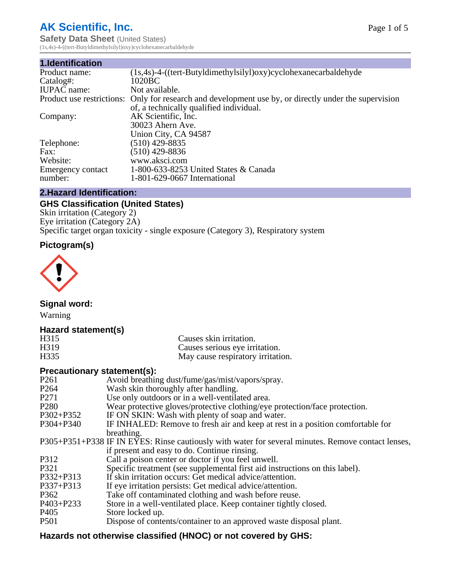# **AK Scientific, Inc.**

**Safety Data Sheet (United States)** (1s,4s)-4-((tert-Butyldimethylsilyl)oxy)cyclohexanecarbaldehyde

| 1.Identification   |                                                                                                       |
|--------------------|-------------------------------------------------------------------------------------------------------|
| Product name:      | $(1s, 4s)$ -4- $((tert-Butyldimethylsilyl)oxy) cyclohexanecarbaldehyde$                               |
| Catalog#:          | 1020BC                                                                                                |
| <b>IUPAC</b> name: | Not available.                                                                                        |
|                    | Product use restrictions: Only for research and development use by, or directly under the supervision |
|                    | of, a technically qualified individual.                                                               |
| Company:           | AK Scientific, Inc.                                                                                   |
|                    | 30023 Ahern Ave.                                                                                      |
|                    | Union City, CA 94587                                                                                  |
| Telephone:         | $(510)$ 429-8835                                                                                      |
| Fax:               | (510) 429-8836                                                                                        |
| Website:           | www.aksci.com                                                                                         |
| Emergency contact  | 1-800-633-8253 United States & Canada                                                                 |
| number:            | 1-801-629-0667 International                                                                          |

## **2.Hazard Identification:**

# **GHS Classification (United States)**

Skin irritation (Category 2) Eye irritation (Category 2A) Specific target organ toxicity - single exposure (Category 3), Respiratory system

## **Pictogram(s)**



**Signal word:**

Warning

## **Hazard statement(s)**

| H315              | Causes skin irritation.           |
|-------------------|-----------------------------------|
| H <sub>3</sub> 19 | Causes serious eye irritation.    |
| H335              | May cause respiratory irritation. |

## **Precautionary statement(s):**

| P <sub>261</sub> | Avoid breathing dust/fume/gas/mist/vapors/spray.                                                   |
|------------------|----------------------------------------------------------------------------------------------------|
| P <sub>264</sub> | Wash skin thoroughly after handling.                                                               |
| P <sub>271</sub> | Use only outdoors or in a well-ventilated area.                                                    |
| P <sub>280</sub> | Wear protective gloves/protective clothing/eye protection/face protection.                         |
| P302+P352        | IF ON SKIN: Wash with plenty of soap and water.                                                    |
| $P304 + P340$    | IF INHALED: Remove to fresh air and keep at rest in a position comfortable for                     |
|                  | breathing.                                                                                         |
|                  | P305+P351+P338 IF IN EYES: Rinse cautiously with water for several minutes. Remove contact lenses, |
|                  | if present and easy to do. Continue rinsing.                                                       |
| P312             | Call a poison center or doctor if you feel unwell.                                                 |
| P321             | Specific treatment (see supplemental first aid instructions on this label).                        |
| P332+P313        | If skin irritation occurs: Get medical advice/attention.                                           |
| P337+P313        | If eye irritation persists: Get medical advice/attention.                                          |
| P362             | Take off contaminated clothing and wash before reuse.                                              |
| P403+P233        | Store in a well-ventilated place. Keep container tightly closed.                                   |
| P <sub>405</sub> | Store locked up.                                                                                   |
| P <sub>501</sub> | Dispose of contents/container to an approved waste disposal plant.                                 |
|                  |                                                                                                    |

# **Hazards not otherwise classified (HNOC) or not covered by GHS:**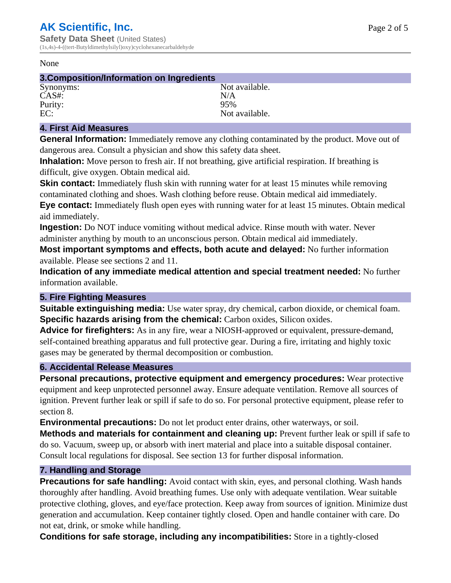#### None

| 3. Composition/Information on Ingredients |                |
|-------------------------------------------|----------------|
| Synonyms:                                 | Not available. |
| $CAS#$ :                                  | N/A            |
| Purity:                                   | 95%            |
| EC:                                       | Not available. |
|                                           |                |

## **4. First Aid Measures**

**General Information:** Immediately remove any clothing contaminated by the product. Move out of dangerous area. Consult a physician and show this safety data sheet.

**Inhalation:** Move person to fresh air. If not breathing, give artificial respiration. If breathing is difficult, give oxygen. Obtain medical aid.

**Skin contact:** Immediately flush skin with running water for at least 15 minutes while removing contaminated clothing and shoes. Wash clothing before reuse. Obtain medical aid immediately. **Eye contact:** Immediately flush open eyes with running water for at least 15 minutes. Obtain medical aid immediately.

**Ingestion:** Do NOT induce vomiting without medical advice. Rinse mouth with water. Never administer anything by mouth to an unconscious person. Obtain medical aid immediately.

**Most important symptoms and effects, both acute and delayed:** No further information available. Please see sections 2 and 11.

**Indication of any immediate medical attention and special treatment needed:** No further information available.

## **5. Fire Fighting Measures**

**Suitable extinguishing media:** Use water spray, dry chemical, carbon dioxide, or chemical foam. **Specific hazards arising from the chemical:** Carbon oxides, Silicon oxides.

**Advice for firefighters:** As in any fire, wear a NIOSH-approved or equivalent, pressure-demand, self-contained breathing apparatus and full protective gear. During a fire, irritating and highly toxic gases may be generated by thermal decomposition or combustion.

## **6. Accidental Release Measures**

**Personal precautions, protective equipment and emergency procedures:** Wear protective equipment and keep unprotected personnel away. Ensure adequate ventilation. Remove all sources of ignition. Prevent further leak or spill if safe to do so. For personal protective equipment, please refer to section 8.

**Environmental precautions:** Do not let product enter drains, other waterways, or soil.

**Methods and materials for containment and cleaning up:** Prevent further leak or spill if safe to do so. Vacuum, sweep up, or absorb with inert material and place into a suitable disposal container. Consult local regulations for disposal. See section 13 for further disposal information.

## **7. Handling and Storage**

**Precautions for safe handling:** Avoid contact with skin, eyes, and personal clothing. Wash hands thoroughly after handling. Avoid breathing fumes. Use only with adequate ventilation. Wear suitable protective clothing, gloves, and eye/face protection. Keep away from sources of ignition. Minimize dust generation and accumulation. Keep container tightly closed. Open and handle container with care. Do not eat, drink, or smoke while handling.

**Conditions for safe storage, including any incompatibilities:** Store in a tightly-closed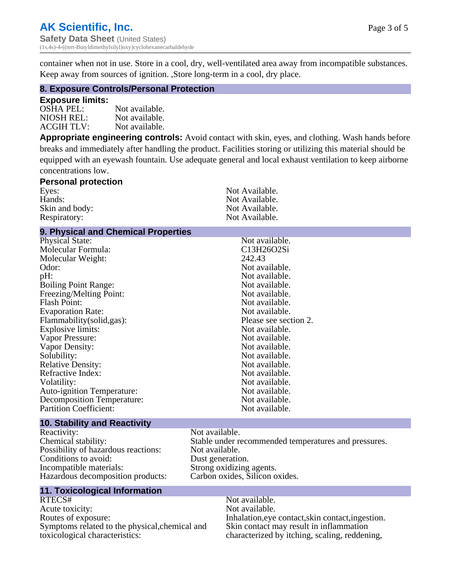Page 3 of 5

container when not in use. Store in a cool, dry, well-ventilated area away from incompatible substances. Keep away from sources of ignition. ,Store long-term in a cool, dry place.

### **8. Exposure Controls/Personal Protection**

#### **Exposure limits:**

| OSHA PEL:  | Not available. |
|------------|----------------|
| NIOSH REL: | Not available. |
| ACGIH TLV: | Not available. |

**Appropriate engineering controls:** Avoid contact with skin, eyes, and clothing. Wash hands before breaks and immediately after handling the product. Facilities storing or utilizing this material should be equipped with an eyewash fountain. Use adequate general and local exhaust ventilation to keep airborne concentrations low.

#### **Personal protection** Eyes: Not Available.<br>
Hands: Not Available.<br>
Not Available. Not Available.<br>Not Available. Skin and body: Respiratory: Not Available.

### **9. Physical and Chemical Properties**

| <b>Physical State:</b>            | Not available.        |
|-----------------------------------|-----------------------|
| Molecular Formula:                | C13H26O2Si            |
| Molecular Weight:                 | 242.43                |
| Odor:                             | Not available.        |
| pH:                               | Not available.        |
| <b>Boiling Point Range:</b>       | Not available.        |
| Freezing/Melting Point:           | Not available.        |
| <b>Flash Point:</b>               | Not available.        |
| <b>Evaporation Rate:</b>          | Not available.        |
| Flammability(solid,gas):          | Please see section 2. |
| Explosive limits:                 | Not available.        |
| Vapor Pressure:                   | Not available.        |
| Vapor Density:                    | Not available.        |
| Solubility:                       | Not available.        |
| <b>Relative Density:</b>          | Not available.        |
| Refractive Index:                 | Not available.        |
| Volatility:                       | Not available.        |
| <b>Auto-ignition Temperature:</b> | Not available.        |
| <b>Decomposition Temperature:</b> | Not available.        |
| <b>Partition Coefficient:</b>     | Not available.        |
|                                   |                       |

#### **10. Stability and Reactivity**

Reactivity: Not available.<br>
Chemical stability: Stable under re Possibility of hazardous reactions: Conditions to avoid:<br>
Incompatible materials:<br>
Strong oxidizing Hazardous decomposition products: Carbon oxides, Silicon oxides.

## **11. Toxicological Information**

RTECS# Not available. Acute toxicity: Not available.<br>
Routes of exposure: This is a multiple in the link of exposure in the link of the link of exposure. Symptoms related to the physical,chemical and toxicological characteristics:

Stable under recommended temperatures and pressures.<br>Not available. Strong oxidizing agents.

> Inhalation,eye contact,skin contact,ingestion. Skin contact may result in inflammation characterized by itching, scaling, reddening,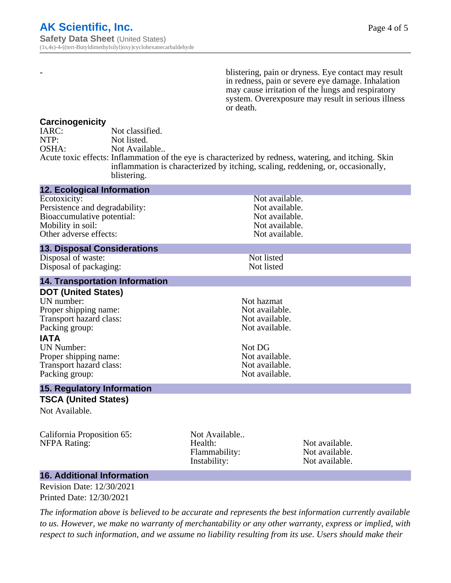- blistering, pain or dryness. Eye contact may result in redness, pain or severe eye damage. Inhalation may cause irritation of the lungs and respiratory system. Overexposure may result in serious illness or death.

### **Carcinogenicity**

| IARC: | Not classified.                                                                                       |
|-------|-------------------------------------------------------------------------------------------------------|
| NTP:  | Not listed.                                                                                           |
| OSHA: | Not Available                                                                                         |
|       | Acute toxic effects: Inflammation of the eye is characterized by redness, watering, and itching. Skin |
|       | inflammation is characterized by itching, scaling, reddening, or, occasionally,                       |
|       | blistering.                                                                                           |

| <b>12. Ecological Information</b>                                                                                                                                                                                        |                                                           |                                                                                                                        |  |
|--------------------------------------------------------------------------------------------------------------------------------------------------------------------------------------------------------------------------|-----------------------------------------------------------|------------------------------------------------------------------------------------------------------------------------|--|
| Ecotoxicity:<br>Persistence and degradability:<br>Bioaccumulative potential:<br>Mobility in soil:<br>Other adverse effects:                                                                                              |                                                           | Not available.<br>Not available.<br>Not available.<br>Not available.<br>Not available.                                 |  |
| <b>13. Disposal Considerations</b>                                                                                                                                                                                       |                                                           |                                                                                                                        |  |
| Disposal of waste:<br>Disposal of packaging:                                                                                                                                                                             |                                                           | Not listed<br>Not listed                                                                                               |  |
| <b>14. Transportation Information</b>                                                                                                                                                                                    |                                                           |                                                                                                                        |  |
| <b>DOT (United States)</b><br>UN number:<br>Proper shipping name:<br>Transport hazard class:<br>Packing group:<br><b>IATA</b><br><b>UN Number:</b><br>Proper shipping name:<br>Transport hazard class:<br>Packing group: | Not DG                                                    | Not hazmat<br>Not available.<br>Not available.<br>Not available.<br>Not available.<br>Not available.<br>Not available. |  |
| <b>15. Regulatory Information</b>                                                                                                                                                                                        |                                                           |                                                                                                                        |  |
| <b>TSCA (United States)</b><br>Not Available.                                                                                                                                                                            |                                                           |                                                                                                                        |  |
| California Proposition 65:<br><b>NFPA Rating:</b>                                                                                                                                                                        | Not Available<br>Health:<br>Flammability:<br>Instability: | Not available.<br>Not available.<br>Not available.                                                                     |  |

## **16. Additional Information**

Revision Date: 12/30/2021 Printed Date: 12/30/2021

*The information above is believed to be accurate and represents the best information currently available to us. However, we make no warranty of merchantability or any other warranty, express or implied, with respect to such information, and we assume no liability resulting from its use. Users should make their*